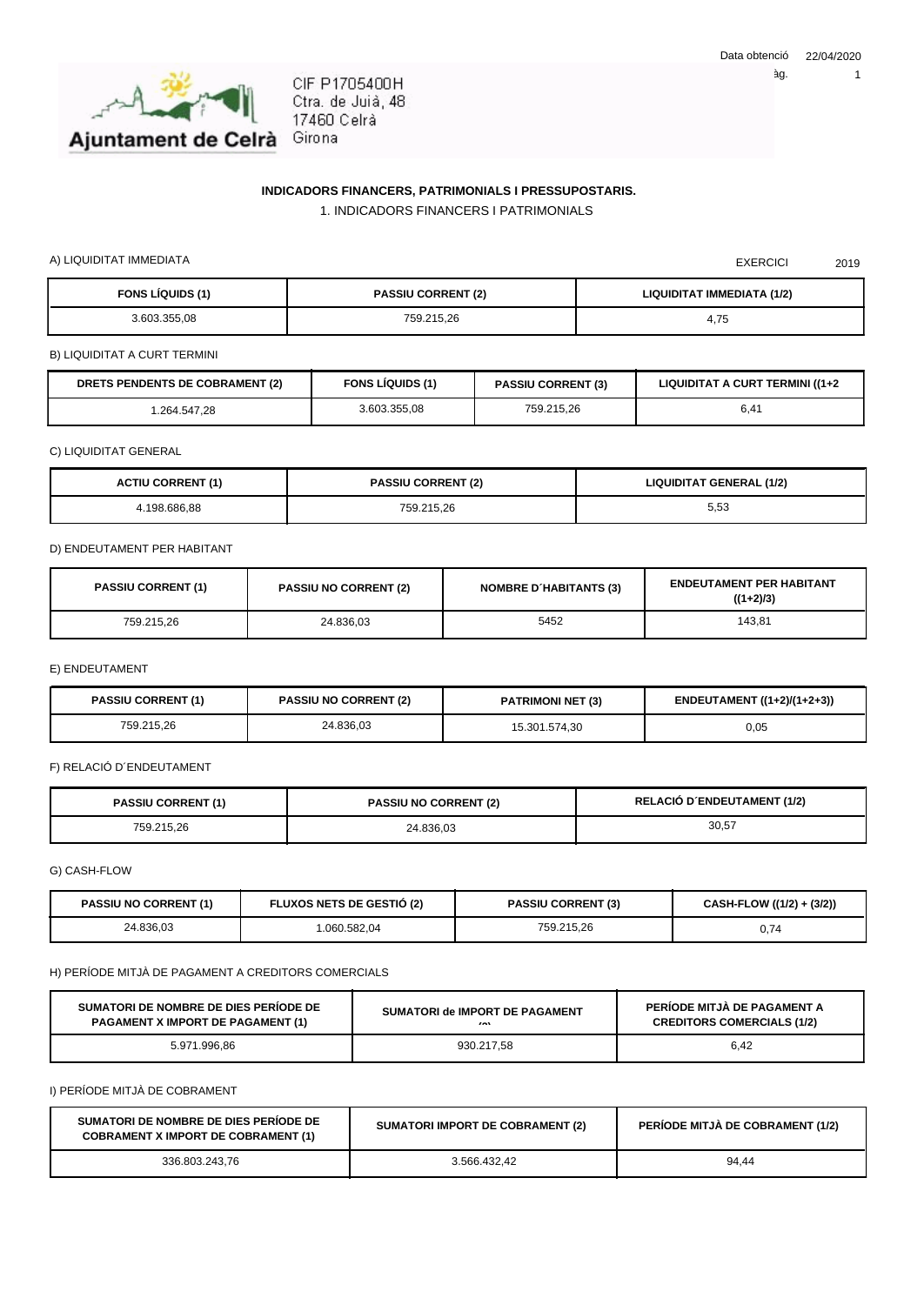

CIF P1705400H Ctra. de Juià, 48 17460 Celrà Girona

## **INDICADORS FINANCERS, PATRIMONIALS I PRESSUPOSTARIS.**

1. INDICADORS FINANCERS I PATRIMONIALS

A) LIQUIDITAT IMMEDIATA 2019

| <b>FONS LÍQUIDS (1)</b> | <b>PASSIU CORRENT (2)</b> | <b>LIQUIDITAT IMMEDIATA (1/2)</b>                            |
|-------------------------|---------------------------|--------------------------------------------------------------|
| 3.603.355.08            | 759.215,26                | $\overline{\phantom{a}}$<br>$\overline{\phantom{a}}$<br>4,7⊍ |

B) LIQUIDITAT A CURT TERMINI

| <b>DRETS PENDENTS DE COBRAMENT (2)</b> | <b>FONS LIQUIDS (1)</b> | <b>PASSIU CORRENT (3)</b> | LIQUIDITAT A CURT TERMINI ((1+2 |
|----------------------------------------|-------------------------|---------------------------|---------------------------------|
| .264.547,28                            | 3.603.355.08            | 759.215.26                | $\overline{A}$<br>0.4 I         |

C) LIQUIDITAT GENERAL

| <b>ACTIU CORRENT (1)</b> | <b>PASSIU CORRENT (2)</b> | <b>LIQUIDITAT GENERAL (1/2)</b> |
|--------------------------|---------------------------|---------------------------------|
| 198.686.88               | 759.215,26                | $\sim$<br>5.53                  |

D) ENDEUTAMENT PER HABITANT

| <b>PASSIU CORRENT (1)</b> | <b>PASSIU NO CORRENT (2)</b> | <b>NOMBRE D'HABITANTS (3)</b> | <b>ENDEUTAMENT PER HABITANT</b><br>$((1+2)/3)$ |
|---------------------------|------------------------------|-------------------------------|------------------------------------------------|
| 759.215.26                | 24.836.03                    | 5452                          | 143.81                                         |

E) ENDEUTAMENT

| <b>PASSIU CORRENT (1)</b> | <b>PASSIU NO CORRENT (2)</b> | <b>PATRIMONI NET (3)</b> | ENDEUTAMENT ((1+2)/(1+2+3)) |
|---------------------------|------------------------------|--------------------------|-----------------------------|
| 759.215,26                | 24.836,03                    | 15.301.574.30            | 0,05                        |

F) RELACIÓ D´ENDEUTAMENT

| <b>PASSIU CORRENT (1)</b> | <b>PASSIU NO CORRENT (2)</b> | <b>RELACIÓ D'ENDEUTAMENT (1/2)</b> |
|---------------------------|------------------------------|------------------------------------|
| 759.215.26                | 24.836.03                    | 30,57                              |

G) CASH-FLOW

| <b>PASSIU NO CORRENT (1)</b> | <b>FLUXOS NETS DE GESTIO (2)</b> | <b>PASSIU CORRENT (3)</b> | CASH-FLOW ((1/2) + (3/2)) |
|------------------------------|----------------------------------|---------------------------|---------------------------|
| 24.836,03                    | .060.582.04                      | 759.215.26                | 74<br>◡.                  |

H) PERÍODE MITJÀ DE PAGAMENT A CREDITORS COMERCIALS

| SUMATORI DE NOMBRE DE DIES PERIODE DE    | SUMATORI de IMPORT DE PAGAMENT | PERIODE MITJA DE PAGAMENT A       |
|------------------------------------------|--------------------------------|-----------------------------------|
| <b>PAGAMENT X IMPORT DE PAGAMENT (1)</b> | $\sim$                         | <b>CREDITORS COMERCIALS (1/2)</b> |
| 5.971.996.86                             | 930.217,58                     | 6,42                              |

I) PERÍODE MITJÀ DE COBRAMENT

| SUMATORI DE NOMBRE DE DIES PERIODE DE<br><b>COBRAMENT X IMPORT DE COBRAMENT (1)</b> | <b>SUMATORI IMPORT DE COBRAMENT (2)</b> | <b>PERIODE MITJA DE COBRAMENT (1/2)</b> |
|-------------------------------------------------------------------------------------|-----------------------------------------|-----------------------------------------|
| 336.803.243.76                                                                      | 3.566.432.42                            | 94.44                                   |